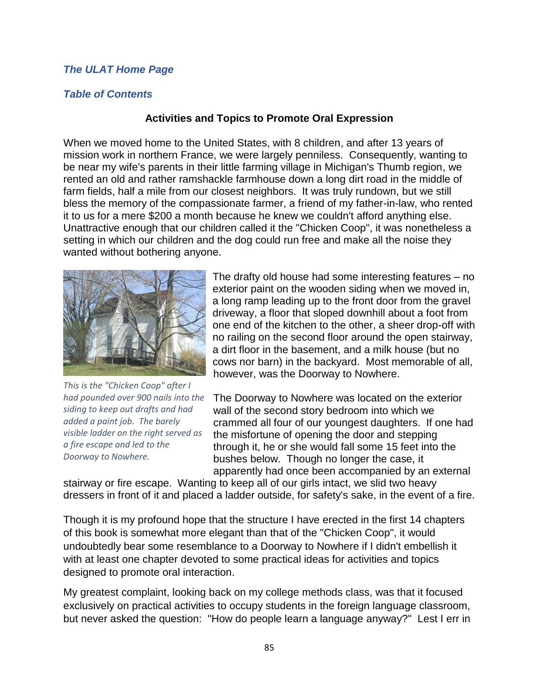## *[The ULAT Home Page](http://www.theulat.com/)*

## *[Table of Contents](http://www.theulat.com/INOTHERWORDS/CONTENTS.PDF)*

## **Activities and Topics to Promote Oral Expression**

When we moved home to the United States, with 8 children, and after 13 years of mission work in northern France, we were largely penniless. Consequently, wanting to be near my wife's parents in their little farming village in Michigan's Thumb region, we rented an old and rather ramshackle farmhouse down a long dirt road in the middle of farm fields, half a mile from our closest neighbors. It was truly rundown, but we still bless the memory of the compassionate farmer, a friend of my father-in-law, who rented it to us for a mere \$200 a month because he knew we couldn't afford anything else. Unattractive enough that our children called it the "Chicken Coop", it was nonetheless a setting in which our children and the dog could run free and make all the noise they wanted without bothering anyone.



*This is the "Chicken Coop" after I had pounded over 900 nails into the siding to keep out drafts and had added a paint job. The barely visible ladder on the right served as a fire escape and led to the Doorway to Nowhere.*

The drafty old house had some interesting features – no exterior paint on the wooden siding when we moved in, a long ramp leading up to the front door from the gravel driveway, a floor that sloped downhill about a foot from one end of the kitchen to the other, a sheer drop-off with no railing on the second floor around the open stairway, a dirt floor in the basement, and a milk house (but no cows nor barn) in the backyard. Most memorable of all, however, was the Doorway to Nowhere.

The Doorway to Nowhere was located on the exterior wall of the second story bedroom into which we crammed all four of our youngest daughters. If one had the misfortune of opening the door and stepping through it, he or she would fall some 15 feet into the bushes below. Though no longer the case, it apparently had once been accompanied by an external

stairway or fire escape. Wanting to keep all of our girls intact, we slid two heavy dressers in front of it and placed a ladder outside, for safety's sake, in the event of a fire.

Though it is my profound hope that the structure I have erected in the first 14 chapters of this book is somewhat more elegant than that of the "Chicken Coop", it would undoubtedly bear some resemblance to a Doorway to Nowhere if I didn't embellish it with at least one chapter devoted to some practical ideas for activities and topics designed to promote oral interaction.

My greatest complaint, looking back on my college methods class, was that it focused exclusively on practical activities to occupy students in the foreign language classroom, but never asked the question: "How do people learn a language anyway?" Lest I err in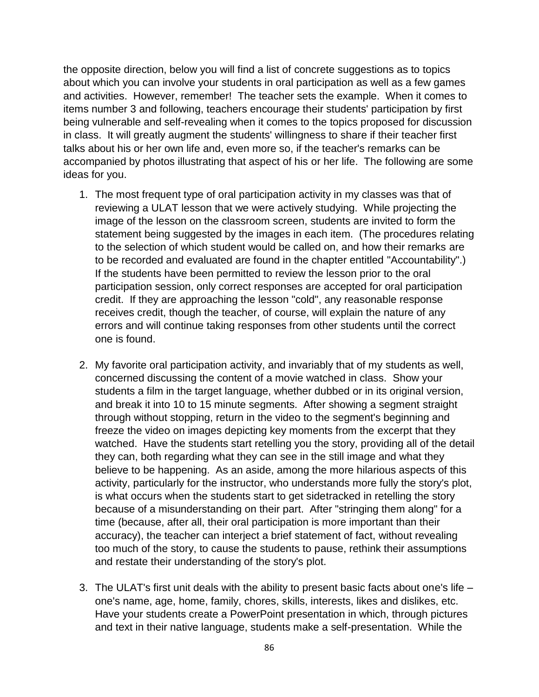the opposite direction, below you will find a list of concrete suggestions as to topics about which you can involve your students in oral participation as well as a few games and activities. However, remember! The teacher sets the example. When it comes to items number 3 and following, teachers encourage their students' participation by first being vulnerable and self-revealing when it comes to the topics proposed for discussion in class. It will greatly augment the students' willingness to share if their teacher first talks about his or her own life and, even more so, if the teacher's remarks can be accompanied by photos illustrating that aspect of his or her life. The following are some ideas for you.

- 1. The most frequent type of oral participation activity in my classes was that of reviewing a ULAT lesson that we were actively studying. While projecting the image of the lesson on the classroom screen, students are invited to form the statement being suggested by the images in each item. (The procedures relating to the selection of which student would be called on, and how their remarks are to be recorded and evaluated are found in the chapter entitled "Accountability".) If the students have been permitted to review the lesson prior to the oral participation session, only correct responses are accepted for oral participation credit. If they are approaching the lesson "cold", any reasonable response receives credit, though the teacher, of course, will explain the nature of any errors and will continue taking responses from other students until the correct one is found.
- 2. My favorite oral participation activity, and invariably that of my students as well, concerned discussing the content of a movie watched in class. Show your students a film in the target language, whether dubbed or in its original version, and break it into 10 to 15 minute segments. After showing a segment straight through without stopping, return in the video to the segment's beginning and freeze the video on images depicting key moments from the excerpt that they watched. Have the students start retelling you the story, providing all of the detail they can, both regarding what they can see in the still image and what they believe to be happening. As an aside, among the more hilarious aspects of this activity, particularly for the instructor, who understands more fully the story's plot, is what occurs when the students start to get sidetracked in retelling the story because of a misunderstanding on their part. After "stringing them along" for a time (because, after all, their oral participation is more important than their accuracy), the teacher can interject a brief statement of fact, without revealing too much of the story, to cause the students to pause, rethink their assumptions and restate their understanding of the story's plot.
- 3. The ULAT's first unit deals with the ability to present basic facts about one's life one's name, age, home, family, chores, skills, interests, likes and dislikes, etc. Have your students create a PowerPoint presentation in which, through pictures and text in their native language, students make a self-presentation. While the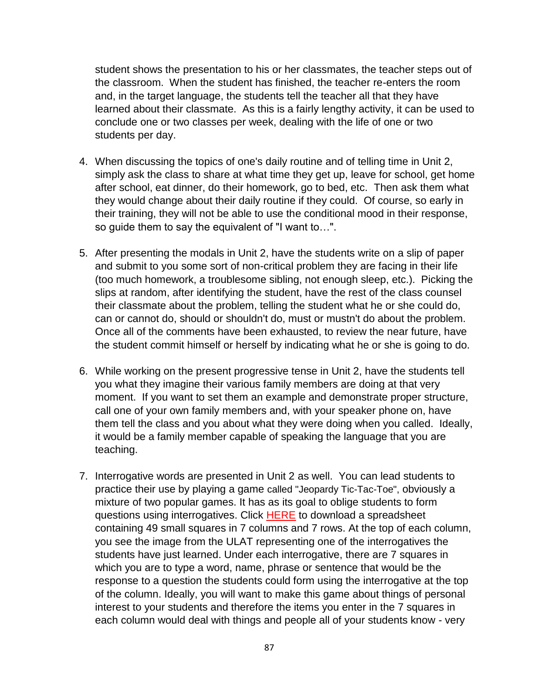student shows the presentation to his or her classmates, the teacher steps out of the classroom. When the student has finished, the teacher re-enters the room and, in the target language, the students tell the teacher all that they have learned about their classmate. As this is a fairly lengthy activity, it can be used to conclude one or two classes per week, dealing with the life of one or two students per day.

- 4. When discussing the topics of one's daily routine and of telling time in Unit 2, simply ask the class to share at what time they get up, leave for school, get home after school, eat dinner, do their homework, go to bed, etc. Then ask them what they would change about their daily routine if they could. Of course, so early in their training, they will not be able to use the conditional mood in their response, so guide them to say the equivalent of "I want to…".
- 5. After presenting the modals in Unit 2, have the students write on a slip of paper and submit to you some sort of non-critical problem they are facing in their life (too much homework, a troublesome sibling, not enough sleep, etc.). Picking the slips at random, after identifying the student, have the rest of the class counsel their classmate about the problem, telling the student what he or she could do, can or cannot do, should or shouldn't do, must or mustn't do about the problem. Once all of the comments have been exhausted, to review the near future, have the student commit himself or herself by indicating what he or she is going to do.
- 6. While working on the present progressive tense in Unit 2, have the students tell you what they imagine their various family members are doing at that very moment. If you want to set them an example and demonstrate proper structure, call one of your own family members and, with your speaker phone on, have them tell the class and you about what they were doing when you called. Ideally, it would be a family member capable of speaking the language that you are teaching.
- 7. Interrogative words are presented in Unit 2 as well. You can lead students to practice their use by playing a game called "Jeopardy Tic-Tac-Toe", obviously a mixture of two popular games. It has as its goal to oblige students to form questions using interrogatives. Click **[HERE](http://theulat.com/GAMES/JEOPARDY.XLS)** to download a spreadsheet containing 49 small squares in 7 columns and 7 rows. At the top of each column, you see the image from the ULAT representing one of the interrogatives the students have just learned. Under each interrogative, there are 7 squares in which you are to type a word, name, phrase or sentence that would be the response to a question the students could form using the interrogative at the top of the column. Ideally, you will want to make this game about things of personal interest to your students and therefore the items you enter in the 7 squares in each column would deal with things and people all of your students know - very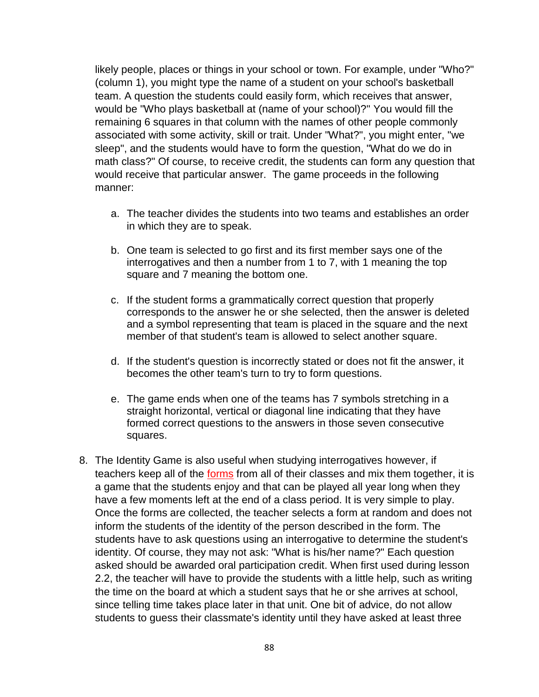likely people, places or things in your school or town. For example, under "Who?" (column 1), you might type the name of a student on your school's basketball team. A question the students could easily form, which receives that answer, would be "Who plays basketball at (name of your school)?" You would fill the remaining 6 squares in that column with the names of other people commonly associated with some activity, skill or trait. Under "What?", you might enter, "we sleep", and the students would have to form the question, "What do we do in math class?" Of course, to receive credit, the students can form any question that would receive that particular answer. The game proceeds in the following manner:

- a. The teacher divides the students into two teams and establishes an order in which they are to speak.
- b. One team is selected to go first and its first member says one of the interrogatives and then a number from 1 to 7, with 1 meaning the top square and 7 meaning the bottom one.
- c. If the student forms a grammatically correct question that properly corresponds to the answer he or she selected, then the answer is deleted and a symbol representing that team is placed in the square and the next member of that student's team is allowed to select another square.
- d. If the student's question is incorrectly stated or does not fit the answer, it becomes the other team's turn to try to form questions.
- e. The game ends when one of the teams has 7 symbols stretching in a straight horizontal, vertical or diagonal line indicating that they have formed correct questions to the answers in those seven consecutive squares.
- 8. The Identity Game is also useful when studying interrogatives however, if teachers keep all of the **[forms](http://theulat.com/GAMES/IDENTITY.DOC)** from all of their classes and mix them together, it is a game that the students enjoy and that can be played all year long when they have a few moments left at the end of a class period. It is very simple to play. Once the forms are collected, the teacher selects a form at random and does not inform the students of the identity of the person described in the form. The students have to ask questions using an interrogative to determine the student's identity. Of course, they may not ask: "What is his/her name?" Each question asked should be awarded oral participation credit. When first used during lesson 2.2, the teacher will have to provide the students with a little help, such as writing the time on the board at which a student says that he or she arrives at school, since telling time takes place later in that unit. One bit of advice, do not allow students to guess their classmate's identity until they have asked at least three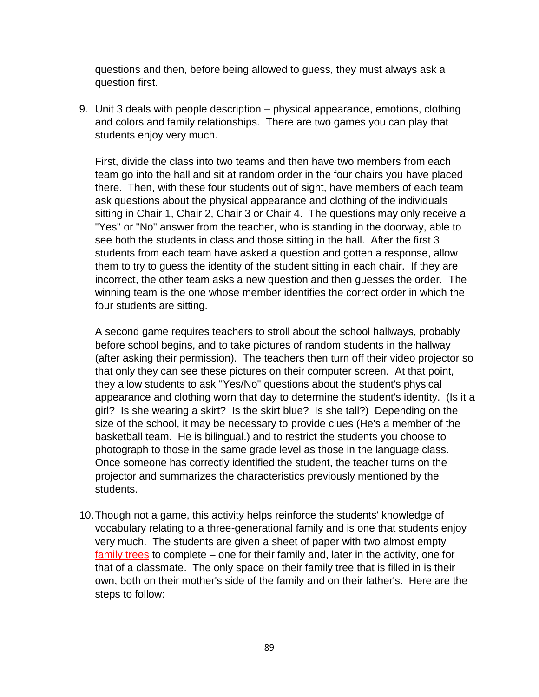questions and then, before being allowed to guess, they must always ask a question first.

9. Unit 3 deals with people description – physical appearance, emotions, clothing and colors and family relationships. There are two games you can play that students enjoy very much.

First, divide the class into two teams and then have two members from each team go into the hall and sit at random order in the four chairs you have placed there. Then, with these four students out of sight, have members of each team ask questions about the physical appearance and clothing of the individuals sitting in Chair 1, Chair 2, Chair 3 or Chair 4. The questions may only receive a "Yes" or "No" answer from the teacher, who is standing in the doorway, able to see both the students in class and those sitting in the hall. After the first 3 students from each team have asked a question and gotten a response, allow them to try to guess the identity of the student sitting in each chair. If they are incorrect, the other team asks a new question and then guesses the order. The winning team is the one whose member identifies the correct order in which the four students are sitting.

A second game requires teachers to stroll about the school hallways, probably before school begins, and to take pictures of random students in the hallway (after asking their permission). The teachers then turn off their video projector so that only they can see these pictures on their computer screen. At that point, they allow students to ask "Yes/No" questions about the student's physical appearance and clothing worn that day to determine the student's identity. (Is it a girl? Is she wearing a skirt? Is the skirt blue? Is she tall?) Depending on the size of the school, it may be necessary to provide clues (He's a member of the basketball team. He is bilingual.) and to restrict the students you choose to photograph to those in the same grade level as those in the language class. Once someone has correctly identified the student, the teacher turns on the projector and summarizes the characteristics previously mentioned by the students.

10.Though not a game, this activity helps reinforce the students' knowledge of vocabulary relating to a three-generational family and is one that students enjoy very much. The students are given a sheet of paper with two almost empty [family trees](http://www.theulat.com/INOTHERWORDS/FAMTREE.XLS) to complete – one for their family and, later in the activity, one for that of a classmate. The only space on their family tree that is filled in is their own, both on their mother's side of the family and on their father's. Here are the steps to follow: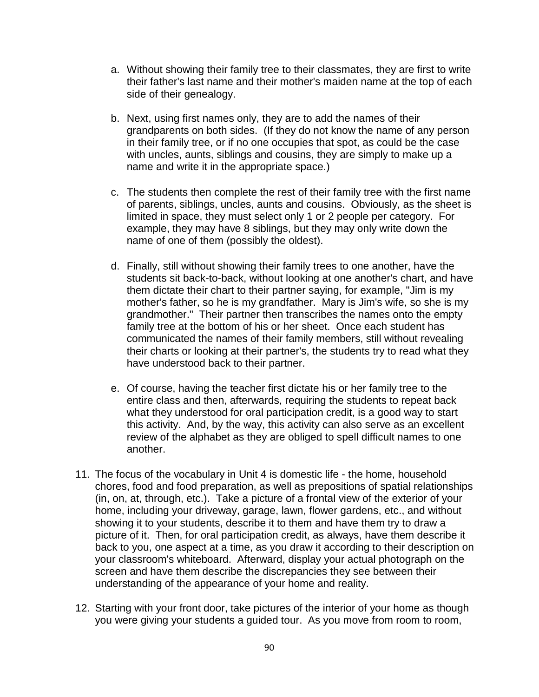- a. Without showing their family tree to their classmates, they are first to write their father's last name and their mother's maiden name at the top of each side of their genealogy.
- b. Next, using first names only, they are to add the names of their grandparents on both sides. (If they do not know the name of any person in their family tree, or if no one occupies that spot, as could be the case with uncles, aunts, siblings and cousins, they are simply to make up a name and write it in the appropriate space.)
- c. The students then complete the rest of their family tree with the first name of parents, siblings, uncles, aunts and cousins. Obviously, as the sheet is limited in space, they must select only 1 or 2 people per category. For example, they may have 8 siblings, but they may only write down the name of one of them (possibly the oldest).
- d. Finally, still without showing their family trees to one another, have the students sit back-to-back, without looking at one another's chart, and have them dictate their chart to their partner saying, for example, "Jim is my mother's father, so he is my grandfather. Mary is Jim's wife, so she is my grandmother." Their partner then transcribes the names onto the empty family tree at the bottom of his or her sheet. Once each student has communicated the names of their family members, still without revealing their charts or looking at their partner's, the students try to read what they have understood back to their partner.
- e. Of course, having the teacher first dictate his or her family tree to the entire class and then, afterwards, requiring the students to repeat back what they understood for oral participation credit, is a good way to start this activity. And, by the way, this activity can also serve as an excellent review of the alphabet as they are obliged to spell difficult names to one another.
- 11. The focus of the vocabulary in Unit 4 is domestic life the home, household chores, food and food preparation, as well as prepositions of spatial relationships (in, on, at, through, etc.). Take a picture of a frontal view of the exterior of your home, including your driveway, garage, lawn, flower gardens, etc., and without showing it to your students, describe it to them and have them try to draw a picture of it. Then, for oral participation credit, as always, have them describe it back to you, one aspect at a time, as you draw it according to their description on your classroom's whiteboard. Afterward, display your actual photograph on the screen and have them describe the discrepancies they see between their understanding of the appearance of your home and reality.
- 12. Starting with your front door, take pictures of the interior of your home as though you were giving your students a guided tour. As you move from room to room,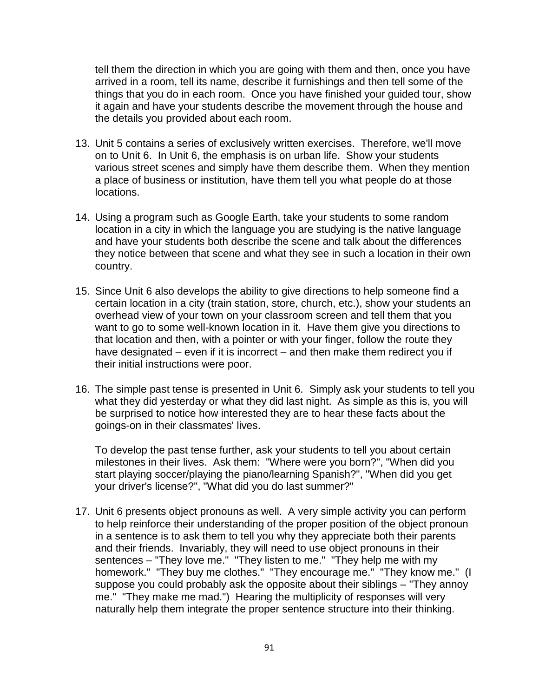tell them the direction in which you are going with them and then, once you have arrived in a room, tell its name, describe it furnishings and then tell some of the things that you do in each room. Once you have finished your guided tour, show it again and have your students describe the movement through the house and the details you provided about each room.

- 13. Unit 5 contains a series of exclusively written exercises. Therefore, we'll move on to Unit 6. In Unit 6, the emphasis is on urban life. Show your students various street scenes and simply have them describe them. When they mention a place of business or institution, have them tell you what people do at those locations.
- 14. Using a program such as Google Earth, take your students to some random location in a city in which the language you are studying is the native language and have your students both describe the scene and talk about the differences they notice between that scene and what they see in such a location in their own country.
- 15. Since Unit 6 also develops the ability to give directions to help someone find a certain location in a city (train station, store, church, etc.), show your students an overhead view of your town on your classroom screen and tell them that you want to go to some well-known location in it. Have them give you directions to that location and then, with a pointer or with your finger, follow the route they have designated – even if it is incorrect – and then make them redirect you if their initial instructions were poor.
- 16. The simple past tense is presented in Unit 6. Simply ask your students to tell you what they did yesterday or what they did last night. As simple as this is, you will be surprised to notice how interested they are to hear these facts about the goings-on in their classmates' lives.

To develop the past tense further, ask your students to tell you about certain milestones in their lives. Ask them: "Where were you born?", "When did you start playing soccer/playing the piano/learning Spanish?", "When did you get your driver's license?", "What did you do last summer?"

17. Unit 6 presents object pronouns as well. A very simple activity you can perform to help reinforce their understanding of the proper position of the object pronoun in a sentence is to ask them to tell you why they appreciate both their parents and their friends. Invariably, they will need to use object pronouns in their sentences – "They love me." "They listen to me." "They help me with my homework." "They buy me clothes." "They encourage me." "They know me." (I suppose you could probably ask the opposite about their siblings – "They annoy me." "They make me mad.") Hearing the multiplicity of responses will very naturally help them integrate the proper sentence structure into their thinking.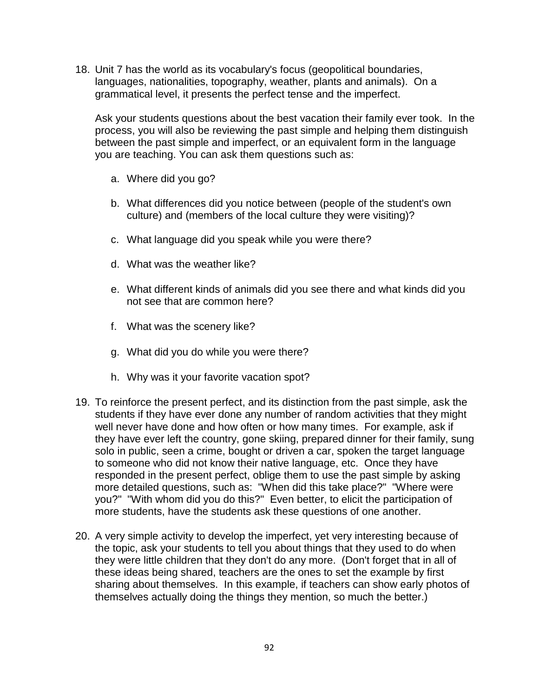18. Unit 7 has the world as its vocabulary's focus (geopolitical boundaries, languages, nationalities, topography, weather, plants and animals). On a grammatical level, it presents the perfect tense and the imperfect.

Ask your students questions about the best vacation their family ever took. In the process, you will also be reviewing the past simple and helping them distinguish between the past simple and imperfect, or an equivalent form in the language you are teaching. You can ask them questions such as:

- a. Where did you go?
- b. What differences did you notice between (people of the student's own culture) and (members of the local culture they were visiting)?
- c. What language did you speak while you were there?
- d. What was the weather like?
- e. What different kinds of animals did you see there and what kinds did you not see that are common here?
- f. What was the scenery like?
- g. What did you do while you were there?
- h. Why was it your favorite vacation spot?
- 19. To reinforce the present perfect, and its distinction from the past simple, ask the students if they have ever done any number of random activities that they might well never have done and how often or how many times. For example, ask if they have ever left the country, gone skiing, prepared dinner for their family, sung solo in public, seen a crime, bought or driven a car, spoken the target language to someone who did not know their native language, etc. Once they have responded in the present perfect, oblige them to use the past simple by asking more detailed questions, such as: "When did this take place?" "Where were you?" "With whom did you do this?" Even better, to elicit the participation of more students, have the students ask these questions of one another.
- 20. A very simple activity to develop the imperfect, yet very interesting because of the topic, ask your students to tell you about things that they used to do when they were little children that they don't do any more. (Don't forget that in all of these ideas being shared, teachers are the ones to set the example by first sharing about themselves. In this example, if teachers can show early photos of themselves actually doing the things they mention, so much the better.)